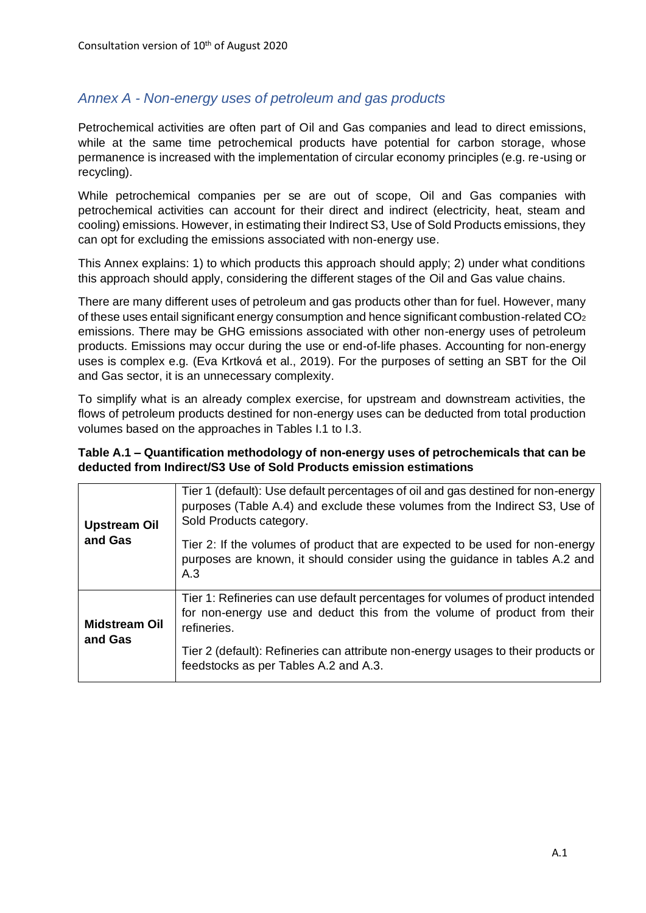## *Annex A - Non-energy uses of petroleum and gas products*

Petrochemical activities are often part of Oil and Gas companies and lead to direct emissions, while at the same time petrochemical products have potential for carbon storage, whose permanence is increased with the implementation of circular economy principles (e.g. re-using or recycling).

While petrochemical companies per se are out of scope, Oil and Gas companies with petrochemical activities can account for their direct and indirect (electricity, heat, steam and cooling) emissions. However, in estimating their Indirect S3, Use of Sold Products emissions, they can opt for excluding the emissions associated with non-energy use.

This Annex explains: 1) to which products this approach should apply; 2) under what conditions this approach should apply, considering the different stages of the Oil and Gas value chains.

There are many different uses of petroleum and gas products other than for fuel. However, many of these uses entail significant energy consumption and hence significant combustion-related CO<sup>2</sup> emissions. There may be GHG emissions associated with other non-energy uses of petroleum products. Emissions may occur during the use or end-of-life phases. Accounting for non-energy uses is complex e.g. (Eva Krtková et al., 2019). For the purposes of setting an SBT for the Oil and Gas sector, it is an unnecessary complexity.

To simplify what is an already complex exercise, for upstream and downstream activities, the flows of petroleum products destined for non-energy uses can be deducted from total production volumes based on the approaches in Tables I.1 to I.3.

## **Table A.1 – Quantification methodology of non-energy uses of petrochemicals that can be deducted from Indirect/S3 Use of Sold Products emission estimations**

| <b>Upstream Oil</b>             | Tier 1 (default): Use default percentages of oil and gas destined for non-energy<br>purposes (Table A.4) and exclude these volumes from the Indirect S3, Use of<br>Sold Products category. |
|---------------------------------|--------------------------------------------------------------------------------------------------------------------------------------------------------------------------------------------|
| and Gas                         | Tier 2: If the volumes of product that are expected to be used for non-energy<br>purposes are known, it should consider using the guidance in tables A.2 and<br>A.3                        |
| <b>Midstream Oil</b><br>and Gas | Tier 1: Refineries can use default percentages for volumes of product intended<br>for non-energy use and deduct this from the volume of product from their<br>refineries.                  |
|                                 | Tier 2 (default): Refineries can attribute non-energy usages to their products or<br>feedstocks as per Tables A.2 and A.3.                                                                 |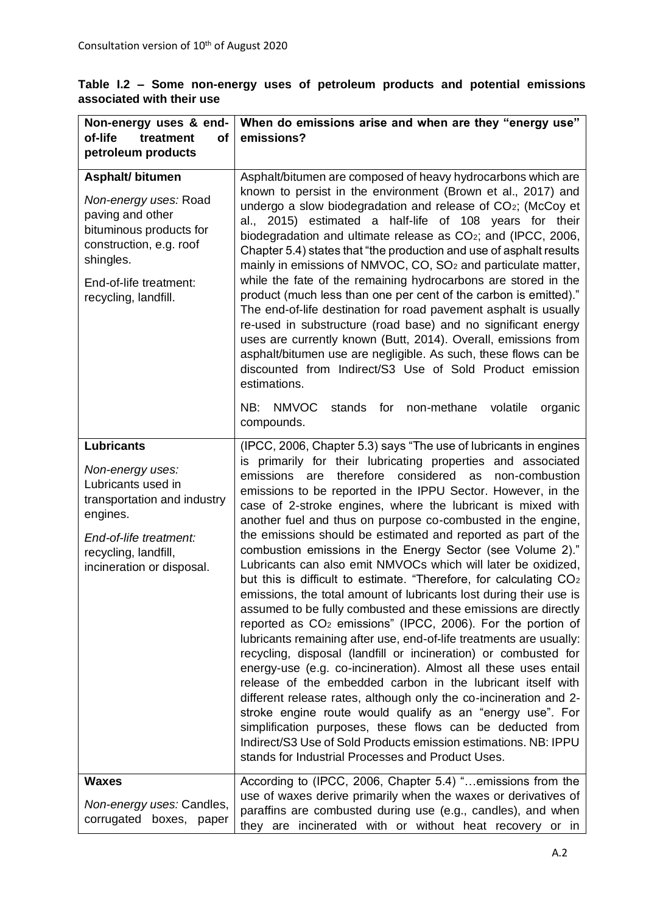|                           |  |  |  |  |  |  |  |  | Table I.2 – Some non-energy uses of petroleum products and potential emissions                |
|---------------------------|--|--|--|--|--|--|--|--|-----------------------------------------------------------------------------------------------|
| associated with their use |  |  |  |  |  |  |  |  |                                                                                               |
|                           |  |  |  |  |  |  |  |  | $\vert$ Non-aparay uses 8 and $\vert$ Whan do amissions arise and whan are they "constay use" |

| Non-energy uses & end-<br>of-life<br>treatment<br><b>of</b><br>petroleum products                                                                                                        | When do emissions arise and when are they "energy use"<br>emissions?                                                                                                                                                                                                                                                                                                                                                                                                                                                                                                                                                                                                                                                                                                                                                                                                                                                                                                                                                                                                                                                                                                                                                                                                                                                                                                                                                                                                                                     |
|------------------------------------------------------------------------------------------------------------------------------------------------------------------------------------------|----------------------------------------------------------------------------------------------------------------------------------------------------------------------------------------------------------------------------------------------------------------------------------------------------------------------------------------------------------------------------------------------------------------------------------------------------------------------------------------------------------------------------------------------------------------------------------------------------------------------------------------------------------------------------------------------------------------------------------------------------------------------------------------------------------------------------------------------------------------------------------------------------------------------------------------------------------------------------------------------------------------------------------------------------------------------------------------------------------------------------------------------------------------------------------------------------------------------------------------------------------------------------------------------------------------------------------------------------------------------------------------------------------------------------------------------------------------------------------------------------------|
| <b>Asphalt/bitumen</b><br>Non-energy uses: Road<br>paving and other<br>bituminous products for<br>construction, e.g. roof<br>shingles.<br>End-of-life treatment:<br>recycling, landfill. | Asphalt/bitumen are composed of heavy hydrocarbons which are<br>known to persist in the environment (Brown et al., 2017) and<br>undergo a slow biodegradation and release of CO2; (McCoy et<br>al., 2015) estimated a half-life of 108 years for their<br>biodegradation and ultimate release as CO <sub>2</sub> ; and (IPCC, 2006,<br>Chapter 5.4) states that "the production and use of asphalt results<br>mainly in emissions of NMVOC, CO, SO <sub>2</sub> and particulate matter,<br>while the fate of the remaining hydrocarbons are stored in the<br>product (much less than one per cent of the carbon is emitted)."<br>The end-of-life destination for road pavement asphalt is usually<br>re-used in substructure (road base) and no significant energy<br>uses are currently known (Butt, 2014). Overall, emissions from<br>asphalt/bitumen use are negligible. As such, these flows can be<br>discounted from Indirect/S3 Use of Sold Product emission<br>estimations.<br><b>NMVOC</b><br>NB:<br>stands<br>for<br>non-methane<br>volatile<br>organic<br>compounds.                                                                                                                                                                                                                                                                                                                                                                                                                          |
| <b>Lubricants</b><br>Non-energy uses:<br>Lubricants used in<br>transportation and industry<br>engines.<br>End-of-life treatment:<br>recycling, landfill,<br>incineration or disposal.    | (IPCC, 2006, Chapter 5.3) says "The use of lubricants in engines<br>is primarily for their lubricating properties and associated<br>emissions are<br>therefore considered<br>as<br>non-combustion<br>emissions to be reported in the IPPU Sector. However, in the<br>case of 2-stroke engines, where the lubricant is mixed with<br>another fuel and thus on purpose co-combusted in the engine,<br>the emissions should be estimated and reported as part of the<br>combustion emissions in the Energy Sector (see Volume 2)."<br>Lubricants can also emit NMVOCs which will later be oxidized,<br>but this is difficult to estimate. "Therefore, for calculating CO <sub>2</sub><br>emissions, the total amount of lubricants lost during their use is<br>assumed to be fully combusted and these emissions are directly<br>reported as CO <sub>2</sub> emissions" (IPCC, 2006). For the portion of<br>lubricants remaining after use, end-of-life treatments are usually:<br>recycling, disposal (landfill or incineration) or combusted for<br>energy-use (e.g. co-incineration). Almost all these uses entail<br>release of the embedded carbon in the lubricant itself with<br>different release rates, although only the co-incineration and 2-<br>stroke engine route would qualify as an "energy use". For<br>simplification purposes, these flows can be deducted from<br>Indirect/S3 Use of Sold Products emission estimations. NB: IPPU<br>stands for Industrial Processes and Product Uses. |
| <b>Waxes</b><br>Non-energy uses: Candles,<br>corrugated boxes, paper                                                                                                                     | According to (IPCC, 2006, Chapter 5.4) "emissions from the<br>use of waxes derive primarily when the waxes or derivatives of<br>paraffins are combusted during use (e.g., candles), and when<br>they are incinerated with or without heat recovery or in                                                                                                                                                                                                                                                                                                                                                                                                                                                                                                                                                                                                                                                                                                                                                                                                                                                                                                                                                                                                                                                                                                                                                                                                                                                 |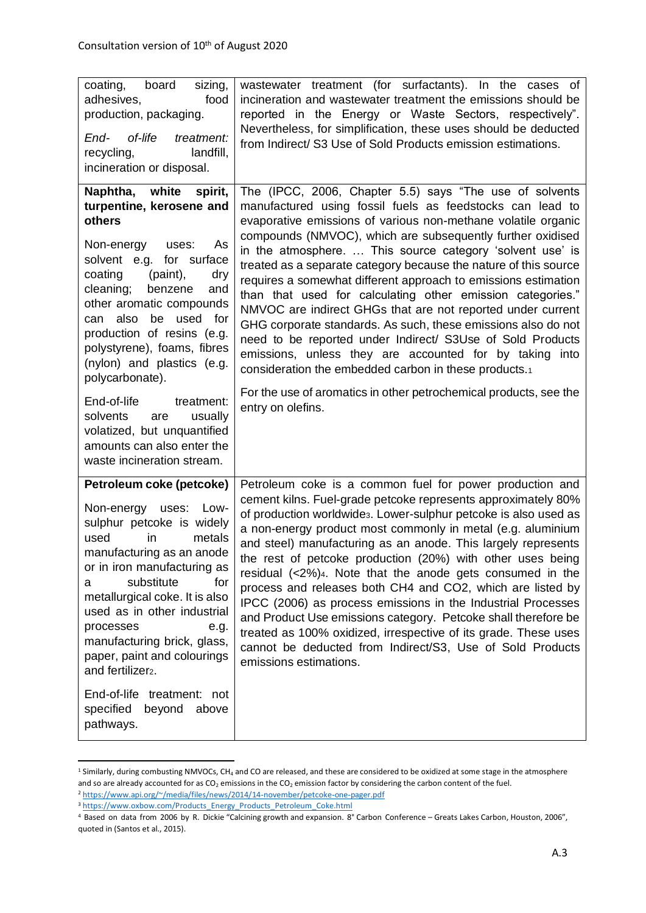| board<br>coating,<br>sizing,<br>adhesives,<br>food<br>production, packaging.<br>End-<br>of-life<br>treatment:<br>recycling,<br>landfill,<br>incineration or disposal.                                                                                                                                                                                                                   | wastewater treatment (for surfactants). In the cases of<br>incineration and wastewater treatment the emissions should be<br>reported in the Energy or Waste Sectors, respectively".<br>Nevertheless, for simplification, these uses should be deducted<br>from Indirect/ S3 Use of Sold Products emission estimations.                                                                                                                                                                                                                                                                                                                                                                                                                                                                                                                       |  |  |  |
|-----------------------------------------------------------------------------------------------------------------------------------------------------------------------------------------------------------------------------------------------------------------------------------------------------------------------------------------------------------------------------------------|----------------------------------------------------------------------------------------------------------------------------------------------------------------------------------------------------------------------------------------------------------------------------------------------------------------------------------------------------------------------------------------------------------------------------------------------------------------------------------------------------------------------------------------------------------------------------------------------------------------------------------------------------------------------------------------------------------------------------------------------------------------------------------------------------------------------------------------------|--|--|--|
| Naphtha, white<br>spirit,<br>turpentine, kerosene and<br>others<br>As<br>Non-energy<br>uses:<br>solvent e.g. for surface<br>coating<br>(paint),<br>dry<br>cleaning;<br>benzene<br>and<br>other aromatic compounds<br>also<br>used<br>be<br>for<br>can<br>production of resins (e.g.<br>polystyrene), foams, fibres<br>(nylon) and plastics (e.g.<br>polycarbonate).                     | The (IPCC, 2006, Chapter 5.5) says "The use of solvents<br>manufactured using fossil fuels as feedstocks can lead to<br>evaporative emissions of various non-methane volatile organic<br>compounds (NMVOC), which are subsequently further oxidised<br>in the atmosphere.  This source category 'solvent use' is<br>treated as a separate category because the nature of this source<br>requires a somewhat different approach to emissions estimation<br>than that used for calculating other emission categories."<br>NMVOC are indirect GHGs that are not reported under current<br>GHG corporate standards. As such, these emissions also do not<br>need to be reported under Indirect/ S3Use of Sold Products<br>emissions, unless they are accounted for by taking into<br>consideration the embedded carbon in these products.1       |  |  |  |
| End-of-life<br>treatment:<br>solvents<br>usually<br>are<br>volatized, but unquantified<br>amounts can also enter the<br>waste incineration stream.                                                                                                                                                                                                                                      | For the use of aromatics in other petrochemical products, see the<br>entry on olefins.                                                                                                                                                                                                                                                                                                                                                                                                                                                                                                                                                                                                                                                                                                                                                       |  |  |  |
| Petroleum coke (petcoke)<br>Non-energy<br>uses:<br>Low-<br>sulphur petcoke is widely<br>metals<br>used<br>in<br>manufacturing as an anode<br>or in iron manufacturing as<br>substitute<br>for<br>а<br>metallurgical coke. It is also<br>used as in other industrial<br>processes<br>e.g.<br>manufacturing brick, glass,<br>paper, paint and colourings<br>and fertilizer <sub>2</sub> . | Petroleum coke is a common fuel for power production and<br>cement kilns. Fuel-grade petcoke represents approximately 80%<br>of production worldwides. Lower-sulphur petcoke is also used as<br>a non-energy product most commonly in metal (e.g. aluminium<br>and steel) manufacturing as an anode. This largely represents<br>the rest of petcoke production (20%) with other uses being<br>residual $\left\langle 2\% \right\rangle$ . Note that the anode gets consumed in the<br>process and releases both CH4 and CO2, which are listed by<br>IPCC (2006) as process emissions in the Industrial Processes<br>and Product Use emissions category. Petcoke shall therefore be<br>treated as 100% oxidized, irrespective of its grade. These uses<br>cannot be deducted from Indirect/S3, Use of Sold Products<br>emissions estimations. |  |  |  |
| End-of-life treatment: not<br>specified<br>beyond<br>above<br>pathways.                                                                                                                                                                                                                                                                                                                 |                                                                                                                                                                                                                                                                                                                                                                                                                                                                                                                                                                                                                                                                                                                                                                                                                                              |  |  |  |

<sup>&</sup>lt;sup>1</sup> Similarly, during combusting NMVOCs, CH<sub>4</sub> and CO are released, and these are considered to be oxidized at some stage in the atmosphere and so are already accounted for as  $CO_2$  emissions in the  $CO_2$  emission factor by considering the carbon content of the fuel. <sup>2</sup> <https://www.api.org/~/media/files/news/2014/14-november/petcoke-one-pager.pdf>

<sup>&</sup>lt;sup>3</sup> [https://www.oxbow.com/Products\\_Energy\\_Products\\_Petroleum\\_Coke.html](https://www.oxbow.com/Products_Energy_Products_Petroleum_Coke.html)

<sup>4</sup> Based on data from 2006 by R. Dickie "Calcining growth and expansion. 8° Carbon Conference – Greats Lakes Carbon, Houston, 2006", quoted in (Santos et al., 2015).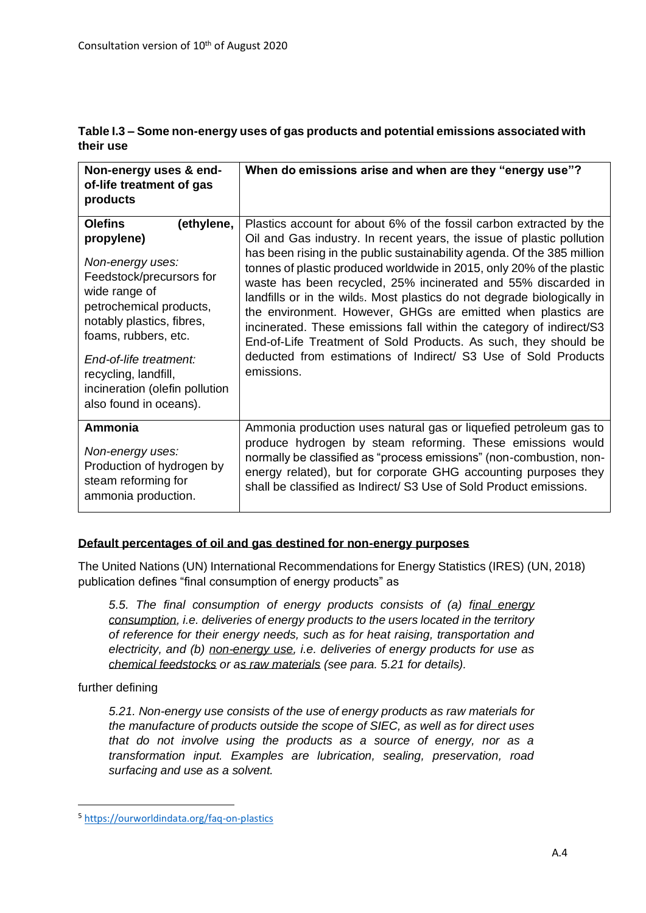| Table I.3 – Some non-energy uses of gas products and potential emissions associated with |  |
|------------------------------------------------------------------------------------------|--|
| their use                                                                                |  |

| Non-energy uses & end-<br>of-life treatment of gas<br>products                                                                                                                                                                                                                                            | When do emissions arise and when are they "energy use"?                                                                                                                                                                                                                                                                                                                                                                                                                                                                                                                                                                                                                                                                                 |
|-----------------------------------------------------------------------------------------------------------------------------------------------------------------------------------------------------------------------------------------------------------------------------------------------------------|-----------------------------------------------------------------------------------------------------------------------------------------------------------------------------------------------------------------------------------------------------------------------------------------------------------------------------------------------------------------------------------------------------------------------------------------------------------------------------------------------------------------------------------------------------------------------------------------------------------------------------------------------------------------------------------------------------------------------------------------|
| <b>Olefins</b><br>(ethylene,<br>propylene)<br>Non-energy uses:<br>Feedstock/precursors for<br>wide range of<br>petrochemical products,<br>notably plastics, fibres,<br>foams, rubbers, etc.<br>End-of-life treatment:<br>recycling, landfill,<br>incineration (olefin pollution<br>also found in oceans). | Plastics account for about 6% of the fossil carbon extracted by the<br>Oil and Gas industry. In recent years, the issue of plastic pollution<br>has been rising in the public sustainability agenda. Of the 385 million<br>tonnes of plastic produced worldwide in 2015, only 20% of the plastic<br>waste has been recycled, 25% incinerated and 55% discarded in<br>landfills or in the wilds. Most plastics do not degrade biologically in<br>the environment. However, GHGs are emitted when plastics are<br>incinerated. These emissions fall within the category of indirect/S3<br>End-of-Life Treatment of Sold Products. As such, they should be<br>deducted from estimations of Indirect/ S3 Use of Sold Products<br>emissions. |
| Ammonia<br>Non-energy uses:<br>Production of hydrogen by<br>steam reforming for<br>ammonia production.                                                                                                                                                                                                    | Ammonia production uses natural gas or liquefied petroleum gas to<br>produce hydrogen by steam reforming. These emissions would<br>normally be classified as "process emissions" (non-combustion, non-<br>energy related), but for corporate GHG accounting purposes they<br>shall be classified as Indirect/ S3 Use of Sold Product emissions.                                                                                                                                                                                                                                                                                                                                                                                         |

## **Default percentages of oil and gas destined for non-energy purposes**

The United Nations (UN) International Recommendations for Energy Statistics (IRES) (UN, 2018) publication defines "final consumption of energy products" as

*5.5. The final consumption of energy products consists of (a) final energy consumption, i.e. deliveries of energy products to the users located in the territory of reference for their energy needs, such as for heat raising, transportation and electricity, and (b) non-energy use, i.e. deliveries of energy products for use as chemical feedstocks or as raw materials (see para. 5.21 for details).*

## further defining

*5.21. Non-energy use consists of the use of energy products as raw materials for the manufacture of products outside the scope of SIEC, as well as for direct uses that do not involve using the products as a source of energy, nor as a transformation input. Examples are lubrication, sealing, preservation, road surfacing and use as a solvent.*

<sup>5</sup> <https://ourworldindata.org/faq-on-plastics>